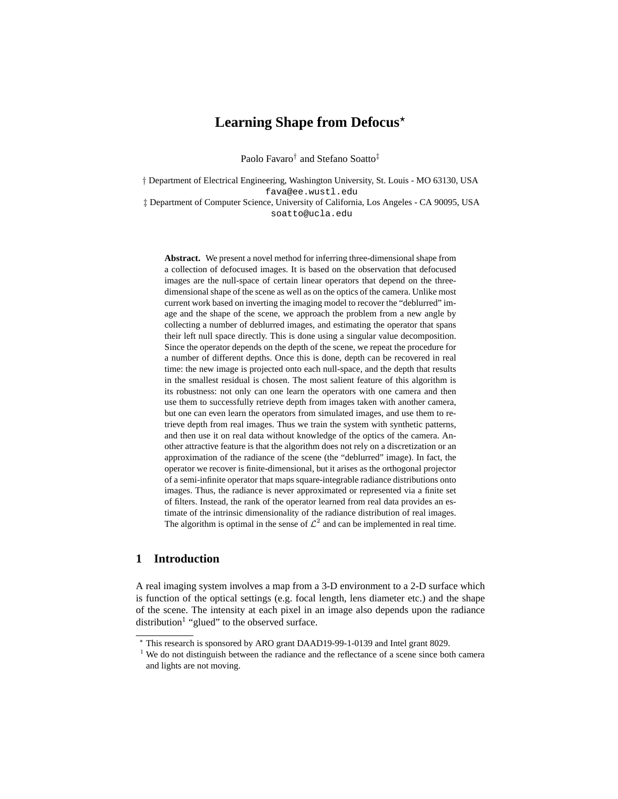# **Learning Shape from Defocus**?

Paolo Favaro<sup>†</sup> and Stefano Soatto<sup>‡</sup>

† Department of Electrical Engineering, Washington University, St. Louis - MO 63130, USA fava@ee.wustl.edu

‡ Department of Computer Science, University of California, Los Angeles - CA 90095, USA soatto@ucla.edu

**Abstract.** We present a novel method for inferring three-dimensional shape from a collection of defocused images. It is based on the observation that defocused images are the null-space of certain linear operators that depend on the threedimensional shape of the scene as well as on the optics of the camera. Unlike most current work based on inverting the imaging model to recover the "deblurred" image and the shape of the scene, we approach the problem from a new angle by collecting a number of deblurred images, and estimating the operator that spans their left null space directly. This is done using a singular value decomposition. Since the operator depends on the depth of the scene, we repeat the procedure for a number of different depths. Once this is done, depth can be recovered in real time: the new image is projected onto each null-space, and the depth that results in the smallest residual is chosen. The most salient feature of this algorithm is its robustness: not only can one learn the operators with one camera and then use them to successfully retrieve depth from images taken with another camera, but one can even learn the operators from simulated images, and use them to retrieve depth from real images. Thus we train the system with synthetic patterns, and then use it on real data without knowledge of the optics of the camera. Another attractive feature is that the algorithm does not rely on a discretization or an approximation of the radiance of the scene (the "deblurred" image). In fact, the operator we recover is finite-dimensional, but it arises as the orthogonal projector of a semi-infinite operator that maps square-integrable radiance distributions onto images. Thus, the radiance is never approximated or represented via a finite set of filters. Instead, the rank of the operator learned from real data provides an estimate of the intrinsic dimensionality of the radiance distribution of real images. The algorithm is optimal in the sense of  $\mathcal{L}^2$  and can be implemented in real time.

### **1 Introduction**

A real imaging system involves a map from a 3-D environment to a 2-D surface which is function of the optical settings (e.g. focal length, lens diameter etc.) and the shape of the scene. The intensity at each pixel in an image also depends upon the radiance distribution<sup>1</sup> "glued" to the observed surface.

<sup>?</sup> This research is sponsored by ARO grant DAAD19-99-1-0139 and Intel grant 8029.

 $1$  We do not distinguish between the radiance and the reflectance of a scene since both camera and lights are not moving.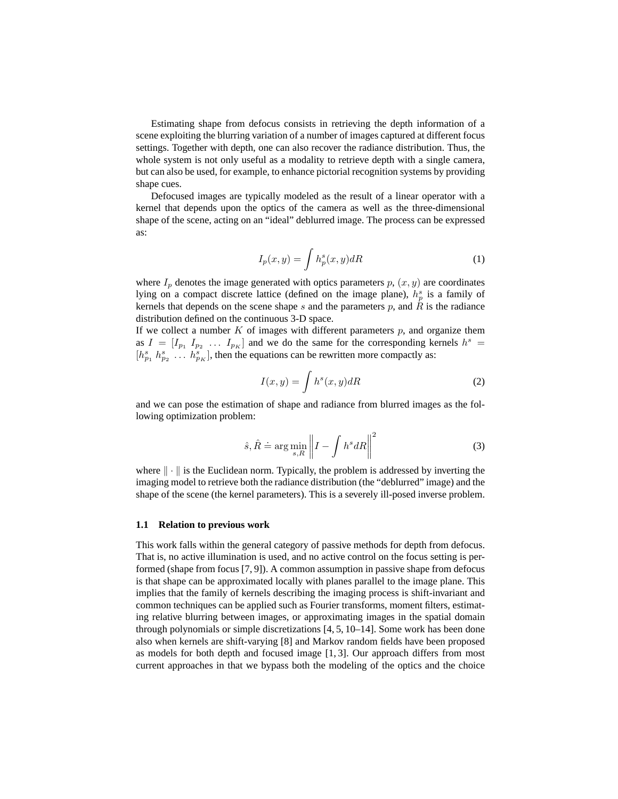Estimating shape from defocus consists in retrieving the depth information of a scene exploiting the blurring variation of a number of images captured at different focus settings. Together with depth, one can also recover the radiance distribution. Thus, the whole system is not only useful as a modality to retrieve depth with a single camera, but can also be used, for example, to enhance pictorial recognition systems by providing shape cues.

Defocused images are typically modeled as the result of a linear operator with a kernel that depends upon the optics of the camera as well as the three-dimensional shape of the scene, acting on an "ideal" deblurred image. The process can be expressed as:

$$
I_p(x,y) = \int h_p^s(x,y)dR
$$
 (1)

where  $I_p$  denotes the image generated with optics parameters  $p$ ,  $(x, y)$  are coordinates lying on a compact discrete lattice (defined on the image plane),  $h_p^s$  is a family of kernels that depends on the scene shape s and the parameters p, and  $\hat{R}$  is the radiance distribution defined on the continuous 3-D space.

If we collect a number  $K$  of images with different parameters  $p$ , and organize them as  $I = [I_{p_1} I_{p_2} \dots I_{p_K}]$  and we do the same for the corresponding kernels  $h^s =$  $[h_{p_1}^s h_{p_2}^s \dots h_{p_K}^s]$ , then the equations can be rewritten more compactly as:

$$
I(x,y) = \int h^s(x,y)dR
$$
 (2)

and we can pose the estimation of shape and radiance from blurred images as the following optimization problem:

$$
\hat{s}, \hat{R} \doteq \arg\min_{s,R} \left\| I - \int h^s dR \right\|^2 \tag{3}
$$

where  $\|\cdot\|$  is the Euclidean norm. Typically, the problem is addressed by inverting the imaging model to retrieve both the radiance distribution (the "deblurred" image) and the shape of the scene (the kernel parameters). This is a severely ill-posed inverse problem.

#### **1.1 Relation to previous work**

This work falls within the general category of passive methods for depth from defocus. That is, no active illumination is used, and no active control on the focus setting is performed (shape from focus [7, 9]). A common assumption in passive shape from defocus is that shape can be approximated locally with planes parallel to the image plane. This implies that the family of kernels describing the imaging process is shift-invariant and common techniques can be applied such as Fourier transforms, moment filters, estimating relative blurring between images, or approximating images in the spatial domain through polynomials or simple discretizations [4, 5, 10–14]. Some work has been done also when kernels are shift-varying [8] and Markov random fields have been proposed as models for both depth and focused image [1, 3]. Our approach differs from most current approaches in that we bypass both the modeling of the optics and the choice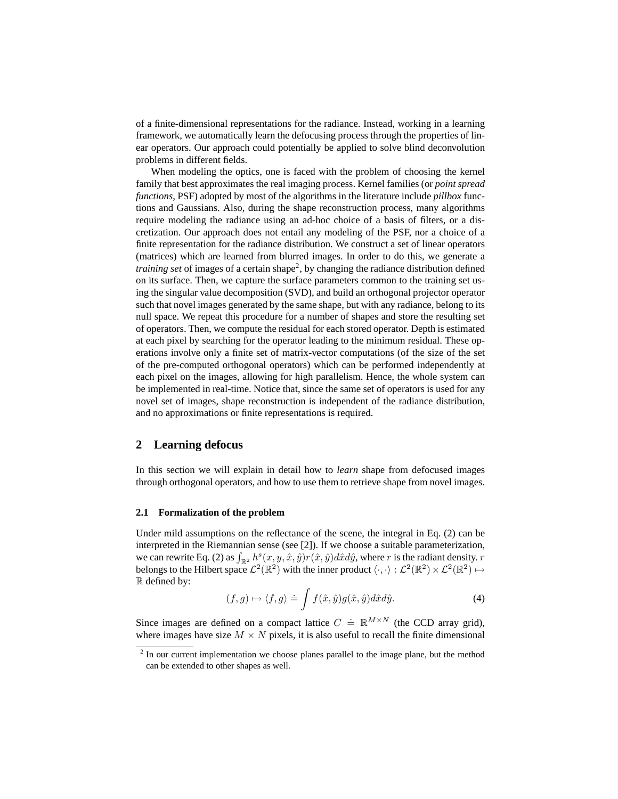of a finite-dimensional representations for the radiance. Instead, working in a learning framework, we automatically learn the defocusing process through the properties of linear operators. Our approach could potentially be applied to solve blind deconvolution problems in different fields.

When modeling the optics, one is faced with the problem of choosing the kernel family that best approximates the real imaging process. Kernel families (or *point spread functions*, PSF) adopted by most of the algorithms in the literature include *pillbox* functions and Gaussians. Also, during the shape reconstruction process, many algorithms require modeling the radiance using an ad-hoc choice of a basis of filters, or a discretization. Our approach does not entail any modeling of the PSF, nor a choice of a finite representation for the radiance distribution. We construct a set of linear operators (matrices) which are learned from blurred images. In order to do this, we generate a training set of images of a certain shape<sup>2</sup>, by changing the radiance distribution defined on its surface. Then, we capture the surface parameters common to the training set using the singular value decomposition (SVD), and build an orthogonal projector operator such that novel images generated by the same shape, but with any radiance, belong to its null space. We repeat this procedure for a number of shapes and store the resulting set of operators. Then, we compute the residual for each stored operator. Depth is estimated at each pixel by searching for the operator leading to the minimum residual. These operations involve only a finite set of matrix-vector computations (of the size of the set of the pre-computed orthogonal operators) which can be performed independently at each pixel on the images, allowing for high parallelism. Hence, the whole system can be implemented in real-time. Notice that, since the same set of operators is used for any novel set of images, shape reconstruction is independent of the radiance distribution, and no approximations or finite representations is required.

### **2 Learning defocus**

In this section we will explain in detail how to *learn* shape from defocused images through orthogonal operators, and how to use them to retrieve shape from novel images.

#### **2.1 Formalization of the problem**

Under mild assumptions on the reflectance of the scene, the integral in Eq. (2) can be interpreted in the Riemannian sense (see [2]). If we choose a suitable parameterization, Interpreted in the Kiemannian sense (see [2]). If we choose a suitable parameterization,<br>we can rewrite Eq. (2) as  $\int_{\mathbb{R}^2} h^s(x, y, \hat{x}, \hat{y}) r(\hat{x}, \hat{y}) d\hat{x} d\hat{y}$ , where r is the radiant density. r belongs to the Hilbert space  $\mathcal{L}^2(\mathbb{R}^2)$  with the inner product  $\langle \cdot, \cdot \rangle : \mathcal{L}^2(\mathbb{R}^2) \times \mathcal{L}^2(\mathbb{R}^2) \mapsto$ R defined by:

$$
(f,g)\mapsto \langle f,g\rangle \doteq \int f(\hat{x},\hat{y})g(\hat{x},\hat{y})d\hat{x}d\hat{y}.\tag{4}
$$

Since images are defined on a compact lattice  $C \doteq \mathbb{R}^{M \times N}$  (the CCD array grid), where images have size  $M \times N$  pixels, it is also useful to recall the finite dimensional

 $2<sup>2</sup>$  In our current implementation we choose planes parallel to the image plane, but the method can be extended to other shapes as well.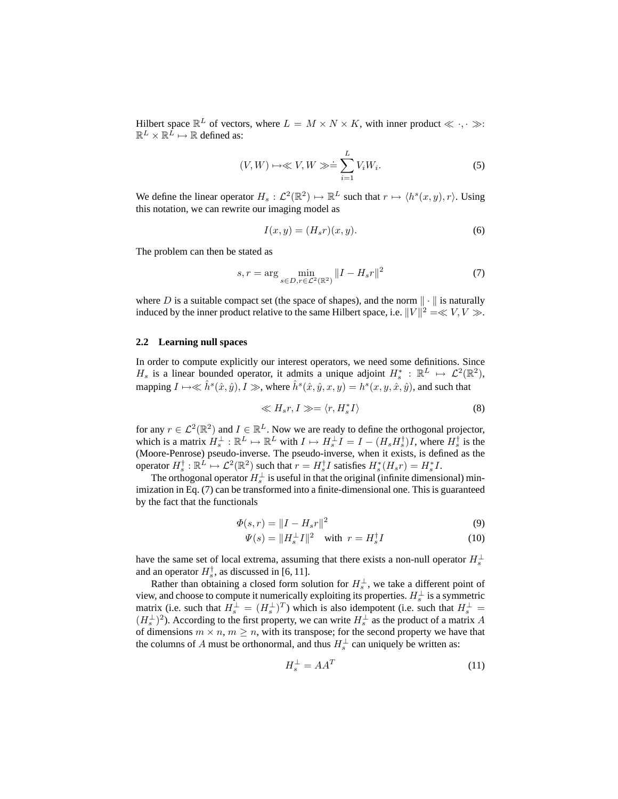Hilbert space  $\mathbb{R}^L$  of vectors, where  $L = M \times N \times K$ , with inner product  $\ll \cdot, \cdot \gg$ :  $\mathbb{R}^L \times \mathbb{R}^L \mapsto \mathbb{R}$  defined as:

$$
(V, W) \mapsto \ll V, W \gg \doteq \sum_{i=1}^{L} V_i W_i.
$$
 (5)

We define the linear operator  $H_s: \mathcal{L}^2(\mathbb{R}^2) \mapsto \mathbb{R}^L$  such that  $r \mapsto \langle h^s(x, y), r \rangle$ . Using this notation, we can rewrite our imaging model as

$$
I(x,y) = (H_s r)(x,y). \tag{6}
$$

The problem can then be stated as

$$
s, r = \arg\min_{s \in D, r \in \mathcal{L}^2(\mathbb{R}^2)} \|I - H_s r\|^2
$$
 (7)

where D is a suitable compact set (the space of shapes), and the norm  $\|\cdot\|$  is naturally induced by the inner product relative to the same Hilbert space, i.e.  $||V||^2 = \ll V, V \gg$ .

#### **2.2 Learning null spaces**

In order to compute explicitly our interest operators, we need some definitions. Since  $H_s$  is a linear bounded operator, it admits a unique adjoint  $H_s^*$ :  $\mathbb{R}^L \mapsto \mathcal{L}^2(\mathbb{R}^2)$ , mapping  $I \mapsto \leq \hat{h}^s(\hat{x}, \hat{y}), I \gg$ , where  $\hat{h}^s(\hat{x}, \hat{y}, x, y) = h^s(x, y, \hat{x}, \hat{y})$ , and such that

$$
\ll H_s r, I \gg = \langle r, H_s^* I \rangle \tag{8}
$$

for any  $r \in \mathcal{L}^2(\mathbb{R}^2)$  and  $I \in \mathbb{R}^L$ . Now we are ready to define the orthogonal projector, which is a matrix  $H_s^{\perp} : \mathbb{R}^L \mapsto \mathbb{R}^L$  with  $I \mapsto H_s^{\perp}I = I - (H_s H_s^{\dagger})I$ , where  $H_s^{\dagger}$  is the (Moore-Penrose) pseudo-inverse. The pseudo-inverse, when it exists, is defined as the operator  $H_s^{\dagger} : \mathbb{R}^L \mapsto \mathcal{L}^2(\mathbb{R}^2)$  such that  $r = H_s^{\dagger}I$  satisfies  $H_s^*(H_s r) = H_s^*I$ .

The orthogonal operator  $H_s^{\perp}$  is useful in that the original (infinite dimensional) minimization in Eq. (7) can be transformed into a finite-dimensional one. This is guaranteed by the fact that the functionals

$$
\Phi(s,r) = \|I - H_s r\|^2 \tag{9}
$$

$$
\Psi(s) = \|H_s^{\perp}I\|^2 \quad \text{with } r = H_s^{\dagger}I \tag{10}
$$

have the same set of local extrema, assuming that there exists a non-null operator  $H_s^{\perp}$ and an operator  $H_s^{\dagger}$ , as discussed in [6, 11].

Rather than obtaining a closed form solution for  $H_s^{\perp}$ , we take a different point of view, and choose to compute it numerically exploiting its properties.  $H_s^{\perp}$  is a symmetric matrix (i.e. such that  $H_s^{\perp} = (H_s^{\perp})^T$ ) which is also idempotent (i.e. such that  $H_s^{\perp} =$  $(H_s^{\perp})^2$ ). According to the first property, we can write  $H_s^{\perp}$  as the product of a matrix A of dimensions  $m \times n$ ,  $m \geq n$ , with its transpose; for the second property we have that the columns of A must be orthonormal, and thus  $H_s^{\perp}$  can uniquely be written as:

$$
H_s^{\perp} = AA^T \tag{11}
$$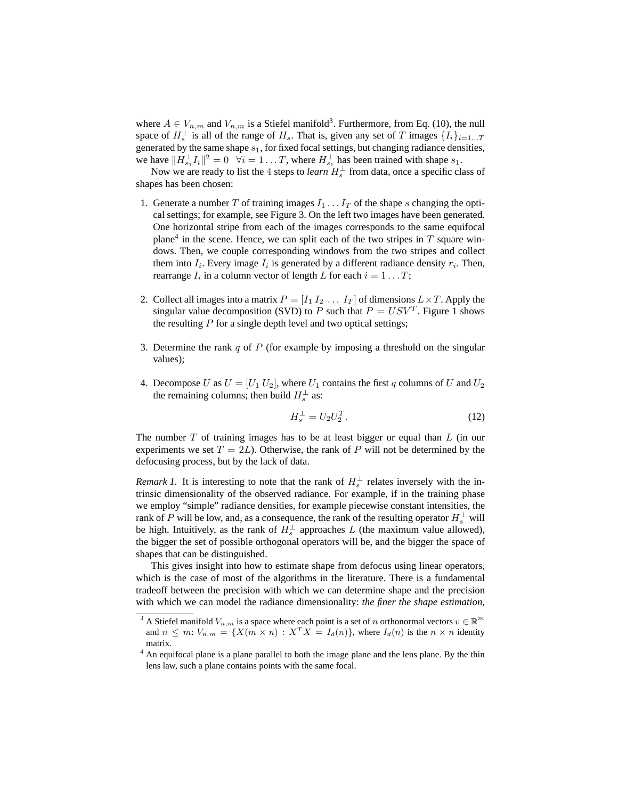where  $A \in V_{n,m}$  and  $V_{n,m}$  is a Stiefel manifold<sup>3</sup>. Furthermore, from Eq. (10), the null space of  $H_s^{\perp}$  is all of the range of  $H_s$ . That is, given any set of T images  $\{I_i\}_{i=1...T}$ generated by the same shape  $s_1$ , for fixed focal settings, but changing radiance densities, we have  $||H_{s_1}^{\perp}I_i||^2 = 0$   $\forall i = 1...T$ , where  $H_{s_1}^{\perp}$  has been trained with shape  $s_1$ .

Now we are ready to list the 4 steps to *learn*  $H_s^{\perp}$  from data, once a specific class of shapes has been chosen:

- 1. Generate a number T of training images  $I_1 \ldots I_T$  of the shape s changing the optical settings; for example, see Figure 3. On the left two images have been generated. One horizontal stripe from each of the images corresponds to the same equifocal plane<sup>4</sup> in the scene. Hence, we can split each of the two stripes in  $T$  square windows. Then, we couple corresponding windows from the two stripes and collect them into  $I_i$ . Every image  $I_i$  is generated by a different radiance density  $r_i$ . Then, rearrange  $I_i$  in a column vector of length L for each  $i = 1 \dots T$ ;
- 2. Collect all images into a matrix  $P = [I_1 I_2 ... I_T]$  of dimensions  $L \times T$ . Apply the singular value decomposition (SVD) to P such that  $P = USV<sup>T</sup>$ . Figure 1 shows the resulting  $P$  for a single depth level and two optical settings;
- 3. Determine the rank  $q$  of  $P$  (for example by imposing a threshold on the singular values);
- 4. Decompose U as  $U = [U_1 U_2]$ , where  $U_1$  contains the first q columns of U and  $U_2$ the remaining columns; then build  $H_s^{\perp}$  as:

$$
H_s^{\perp} = U_2 U_2^T. \tag{12}
$$

The number  $T$  of training images has to be at least bigger or equal than  $L$  (in our experiments we set  $T = 2L$ ). Otherwise, the rank of P will not be determined by the defocusing process, but by the lack of data.

*Remark 1.* It is interesting to note that the rank of  $H_s^{\perp}$  relates inversely with the intrinsic dimensionality of the observed radiance. For example, if in the training phase we employ "simple" radiance densities, for example piecewise constant intensities, the rank of  $P$  will be low, and, as a consequence, the rank of the resulting operator  $H_s^\perp$  will be high. Intuitively, as the rank of  $H_s^{\perp}$  approaches L (the maximum value allowed), the bigger the set of possible orthogonal operators will be, and the bigger the space of shapes that can be distinguished.

This gives insight into how to estimate shape from defocus using linear operators, which is the case of most of the algorithms in the literature. There is a fundamental tradeoff between the precision with which we can determine shape and the precision with which we can model the radiance dimensionality: *the finer the shape estimation,*

<sup>&</sup>lt;sup>3</sup> A Stiefel manifold  $V_{n,m}$  is a space where each point is a set of n orthonormal vectors  $v \in \mathbb{R}^m$ and  $n \leq m$ :  $V_{n,m} = \{X(m \times n) : X^T X = I_d(n)\}$ , where  $I_d(n)$  is the  $n \times n$  identity matrix.

<sup>&</sup>lt;sup>4</sup> An equifocal plane is a plane parallel to both the image plane and the lens plane. By the thin lens law, such a plane contains points with the same focal.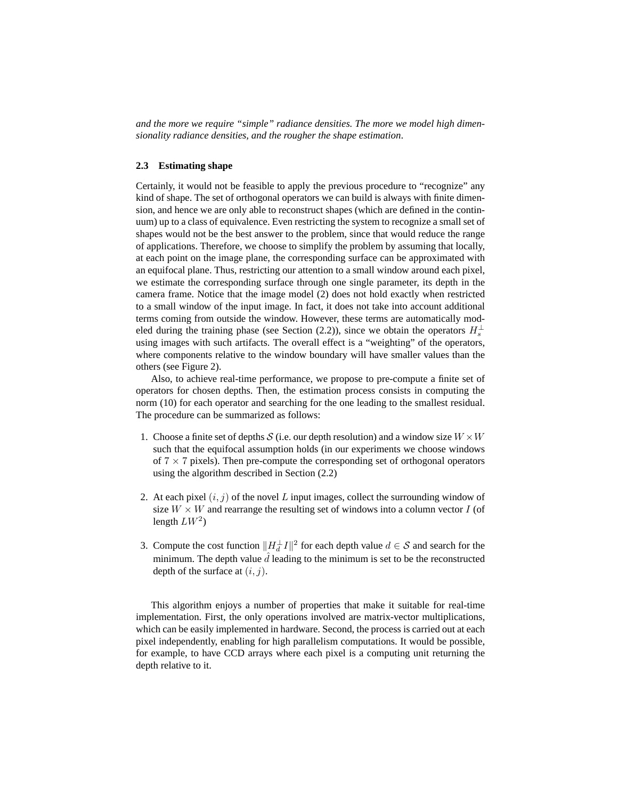*and the more we require "simple" radiance densities. The more we model high dimensionality radiance densities, and the rougher the shape estimation*.

### **2.3 Estimating shape**

Certainly, it would not be feasible to apply the previous procedure to "recognize" any kind of shape. The set of orthogonal operators we can build is always with finite dimension, and hence we are only able to reconstruct shapes (which are defined in the continuum) up to a class of equivalence. Even restricting the system to recognize a small set of shapes would not be the best answer to the problem, since that would reduce the range of applications. Therefore, we choose to simplify the problem by assuming that locally, at each point on the image plane, the corresponding surface can be approximated with an equifocal plane. Thus, restricting our attention to a small window around each pixel, we estimate the corresponding surface through one single parameter, its depth in the camera frame. Notice that the image model (2) does not hold exactly when restricted to a small window of the input image. In fact, it does not take into account additional terms coming from outside the window. However, these terms are automatically modeled during the training phase (see Section (2.2)), since we obtain the operators  $H_s^{\perp}$ using images with such artifacts. The overall effect is a "weighting" of the operators, where components relative to the window boundary will have smaller values than the others (see Figure 2).

Also, to achieve real-time performance, we propose to pre-compute a finite set of operators for chosen depths. Then, the estimation process consists in computing the norm (10) for each operator and searching for the one leading to the smallest residual. The procedure can be summarized as follows:

- 1. Choose a finite set of depths S (i.e. our depth resolution) and a window size  $W \times W$ such that the equifocal assumption holds (in our experiments we choose windows of  $7 \times 7$  pixels). Then pre-compute the corresponding set of orthogonal operators using the algorithm described in Section (2.2)
- 2. At each pixel  $(i, j)$  of the novel L input images, collect the surrounding window of size  $W \times W$  and rearrange the resulting set of windows into a column vector I (of length  $LW^2$ )
- 3. Compute the cost function  $||H_d^{\perp}I||^2$  for each depth value  $d \in \mathcal{S}$  and search for the minimum. The depth value  $\hat{d}$  leading to the minimum is set to be the reconstructed depth of the surface at  $(i, j)$ .

This algorithm enjoys a number of properties that make it suitable for real-time implementation. First, the only operations involved are matrix-vector multiplications, which can be easily implemented in hardware. Second, the process is carried out at each pixel independently, enabling for high parallelism computations. It would be possible, for example, to have CCD arrays where each pixel is a computing unit returning the depth relative to it.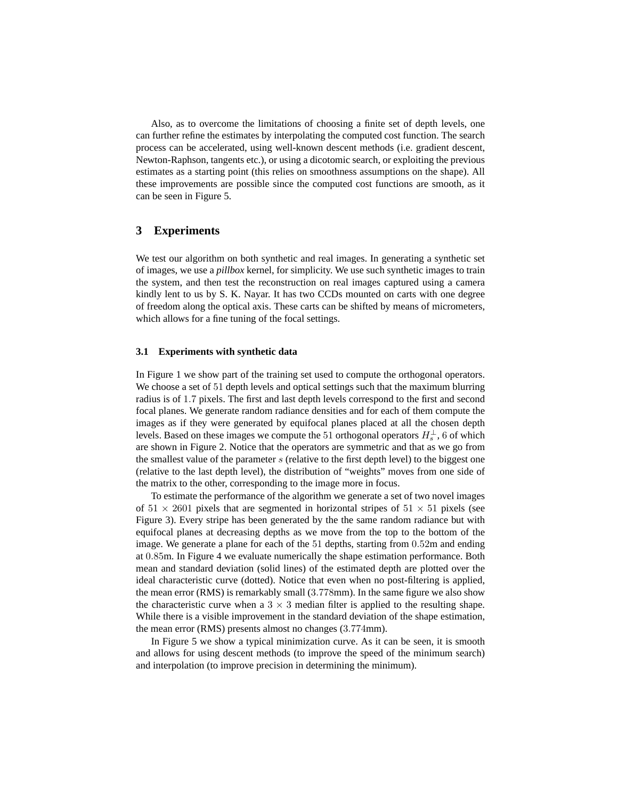Also, as to overcome the limitations of choosing a finite set of depth levels, one can further refine the estimates by interpolating the computed cost function. The search process can be accelerated, using well-known descent methods (i.e. gradient descent, Newton-Raphson, tangents etc.), or using a dicotomic search, or exploiting the previous estimates as a starting point (this relies on smoothness assumptions on the shape). All these improvements are possible since the computed cost functions are smooth, as it can be seen in Figure 5.

### **3 Experiments**

We test our algorithm on both synthetic and real images. In generating a synthetic set of images, we use a *pillbox* kernel, for simplicity. We use such synthetic images to train the system, and then test the reconstruction on real images captured using a camera kindly lent to us by S. K. Nayar. It has two CCDs mounted on carts with one degree of freedom along the optical axis. These carts can be shifted by means of micrometers, which allows for a fine tuning of the focal settings.

#### **3.1 Experiments with synthetic data**

In Figure 1 we show part of the training set used to compute the orthogonal operators. We choose a set of 51 depth levels and optical settings such that the maximum blurring radius is of 1.7 pixels. The first and last depth levels correspond to the first and second focal planes. We generate random radiance densities and for each of them compute the images as if they were generated by equifocal planes placed at all the chosen depth levels. Based on these images we compute the 51 orthogonal operators  $H_s^{\perp}$ , 6 of which are shown in Figure 2. Notice that the operators are symmetric and that as we go from the smallest value of the parameter  $s$  (relative to the first depth level) to the biggest one (relative to the last depth level), the distribution of "weights" moves from one side of the matrix to the other, corresponding to the image more in focus.

To estimate the performance of the algorithm we generate a set of two novel images of  $51 \times 2601$  pixels that are segmented in horizontal stripes of  $51 \times 51$  pixels (see Figure 3). Every stripe has been generated by the the same random radiance but with equifocal planes at decreasing depths as we move from the top to the bottom of the image. We generate a plane for each of the 51 depths, starting from 0.52m and ending at 0.85m. In Figure 4 we evaluate numerically the shape estimation performance. Both mean and standard deviation (solid lines) of the estimated depth are plotted over the ideal characteristic curve (dotted). Notice that even when no post-filtering is applied, the mean error (RMS) is remarkably small (3.778mm). In the same figure we also show the characteristic curve when a  $3 \times 3$  median filter is applied to the resulting shape. While there is a visible improvement in the standard deviation of the shape estimation, the mean error (RMS) presents almost no changes (3.774mm).

In Figure 5 we show a typical minimization curve. As it can be seen, it is smooth and allows for using descent methods (to improve the speed of the minimum search) and interpolation (to improve precision in determining the minimum).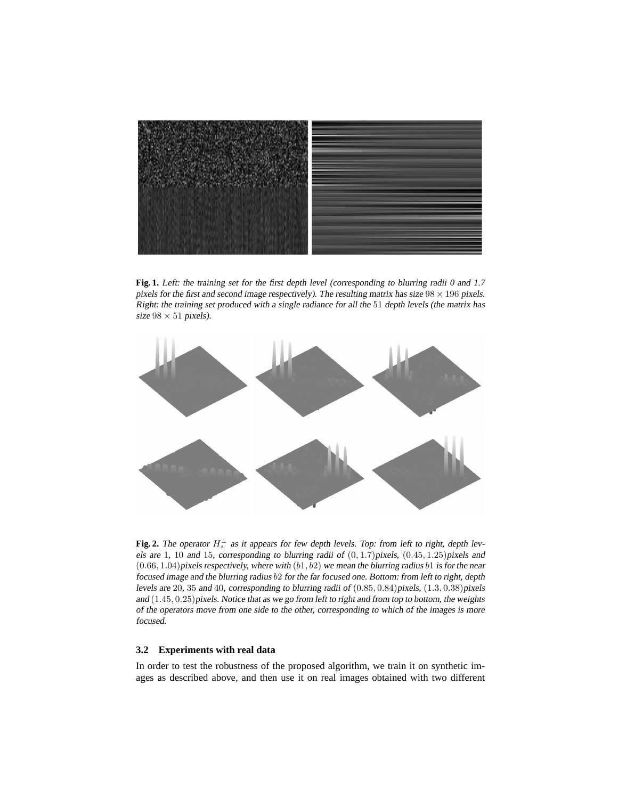

**Fig. 1.** Left: the training set for the first depth level (corresponding to blurring radii <sup>0</sup> and 1.7 pixels for the first and second image respectively). The resulting matrix has size  $98 \times 196$  pixels. Right: the training set produced with <sup>a</sup> single radiance for all the 51 depth levels (the matrix has size  $98 \times 51$  pixels).



**Fig. 2.** The operator  $H_s^{\perp}$  as it appears for few depth levels. Top: from left to right, depth levels are 1, 10 and 15, corresponding to blurring radii of (0, 1.7)pixels, (0.45, 1.25)pixels and  $(0.66, 1.04)$  pixels respectively, where with  $(b1, b2)$  we mean the blurring radius b1 is for the near focused image and the blurring radius b2 for the far focused one. Bottom: from left to right, depth levels are 20, 35 and 40, corresponding to blurring radii of (0.85, 0.84)pixels, (1.3, 0.38)pixels and  $(1.45, 0.25)$  pixels. Notice that as we go from left to right and from top to bottom, the weights of the operators move from one side to the other, corresponding to which of the images is more focused.

#### **3.2 Experiments with real data**

In order to test the robustness of the proposed algorithm, we train it on synthetic images as described above, and then use it on real images obtained with two different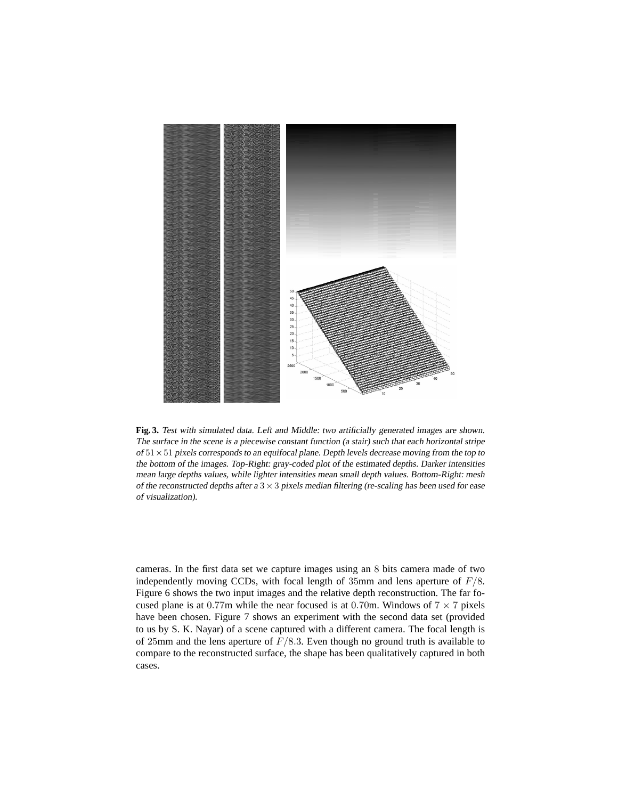

**Fig. 3.** Test with simulated data. Left and Middle: two artificially generated images are shown. The surface in the scene is <sup>a</sup> piecewise constant function (a stair) such that each horizontal stripe of  $51 \times 51$  pixels corresponds to an equifocal plane. Depth levels decrease moving from the top to the bottom of the images. Top-Right: gray-coded plot of the estimated depths. Darker intensities mean large depths values, while lighter intensities mean small depth values. Bottom-Right: mesh of the reconstructed depths after a  $3 \times 3$  pixels median filtering (re-scaling has been used for ease of visualization).

cameras. In the first data set we capture images using an 8 bits camera made of two independently moving CCDs, with focal length of 35mm and lens aperture of  $F/8$ . Figure 6 shows the two input images and the relative depth reconstruction. The far focused plane is at 0.77m while the near focused is at 0.70m. Windows of  $7 \times 7$  pixels have been chosen. Figure 7 shows an experiment with the second data set (provided to us by S. K. Nayar) of a scene captured with a different camera. The focal length is of 25mm and the lens aperture of  $F/8.3$ . Even though no ground truth is available to compare to the reconstructed surface, the shape has been qualitatively captured in both cases.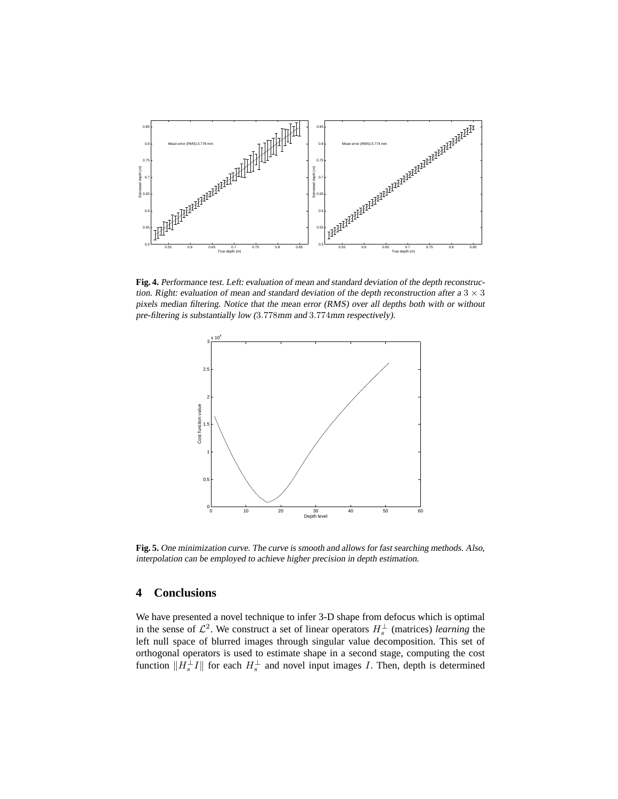

**Fig. 4.** Performance test. Left: evaluation of mean and standard deviation of the depth reconstruction. Right: evaluation of mean and standard deviation of the depth reconstruction after a  $3 \times 3$ pixels median filtering. Notice that the mean error (RMS) over all depths both with or without pre-filtering is substantially low (3.778mm and 3.774mm respectively).



**Fig. 5.** One minimization curve. The curve is smooth and allows for fast searching methods. Also, interpolation can be employed to achieve higher precision in depth estimation.

## **4 Conclusions**

We have presented a novel technique to infer 3-D shape from defocus which is optimal in the sense of  $\mathcal{L}^2$ . We construct a set of linear operators  $H_s^{\perp}$  (matrices) *learning* the left null space of blurred images through singular value decomposition. This set of orthogonal operators is used to estimate shape in a second stage, computing the cost function  $||H_s^{\perp}I||$  for each  $H_s^{\perp}$  and novel input images *I*. Then, depth is determined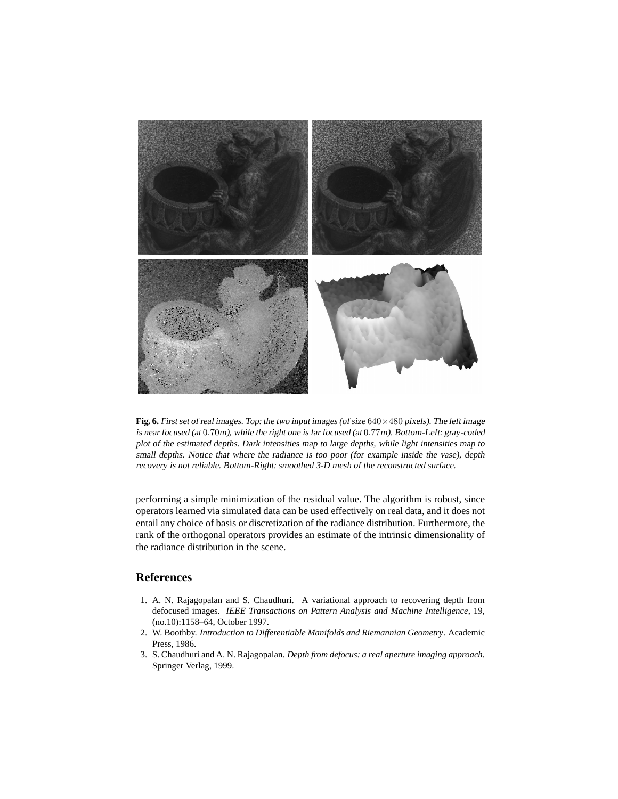

**Fig. 6.** First set of real images. Top: the two input images (of size 640×480 pixels). The left image is near focused (at 0.70m), while the right one is far focused (at 0.77m). Bottom-Left: gray-coded plot of the estimated depths. Dark intensities map to large depths, while light intensities map to small depths. Notice that where the radiance is too poor (for example inside the vase), depth recovery is not reliable. Bottom-Right: smoothed 3-D mesh of the reconstructed surface.

performing a simple minimization of the residual value. The algorithm is robust, since operators learned via simulated data can be used effectively on real data, and it does not entail any choice of basis or discretization of the radiance distribution. Furthermore, the rank of the orthogonal operators provides an estimate of the intrinsic dimensionality of the radiance distribution in the scene.

### **References**

- 1. A. N. Rajagopalan and S. Chaudhuri. A variational approach to recovering depth from defocused images. *IEEE Transactions on Pattern Analysis and Machine Intelligence*, 19, (no.10):1158–64, October 1997.
- 2. W. Boothby. *Introduction to Differentiable Manifolds and Riemannian Geometry*. Academic Press, 1986.
- 3. S. Chaudhuri and A. N. Rajagopalan. *Depth from defocus: a real aperture imaging approach.* Springer Verlag, 1999.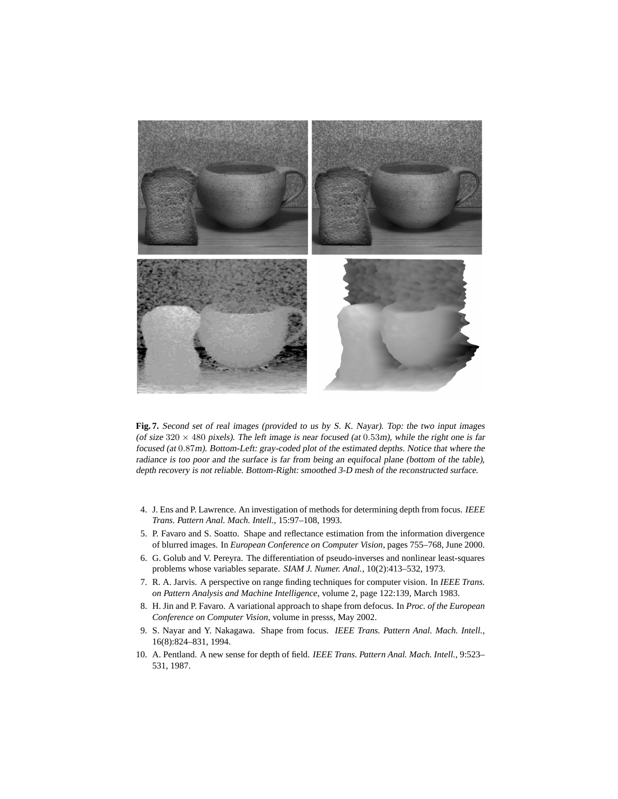

Fig. 7. Second set of real images (provided to us by S. K. Nayar). Top: the two input images (of size  $320 \times 480$  pixels). The left image is near focused (at  $0.53$ m), while the right one is far focused (at 0.87m). Bottom-Left: gray-coded plot of the estimated depths. Notice that where the radiance is too poor and the surface is far from being an equifocal plane (bottom of the table), depth recovery is not reliable. Bottom-Right: smoothed 3-D mesh of the reconstructed surface.

- 4. J. Ens and P. Lawrence. An investigation of methods for determining depth from focus. *IEEE Trans. Pattern Anal. Mach. Intell.*, 15:97–108, 1993.
- 5. P. Favaro and S. Soatto. Shape and reflectance estimation from the information divergence of blurred images. In *European Conference on Computer Vision*, pages 755–768, June 2000.
- 6. G. Golub and V. Pereyra. The differentiation of pseudo-inverses and nonlinear least-squares problems whose variables separate. *SIAM J. Numer. Anal.*, 10(2):413–532, 1973.
- 7. R. A. Jarvis. A perspective on range finding techniques for computer vision. In *IEEE Trans. on Pattern Analysis and Machine Intelligence*, volume 2, page 122:139, March 1983.
- 8. H. Jin and P. Favaro. A variational approach to shape from defocus. In *Proc. of the European Conference on Computer Vision*, volume in presss, May 2002.
- 9. S. Nayar and Y. Nakagawa. Shape from focus. *IEEE Trans. Pattern Anal. Mach. Intell.*, 16(8):824–831, 1994.
- 10. A. Pentland. A new sense for depth of field. *IEEE Trans. Pattern Anal. Mach. Intell.*, 9:523– 531, 1987.